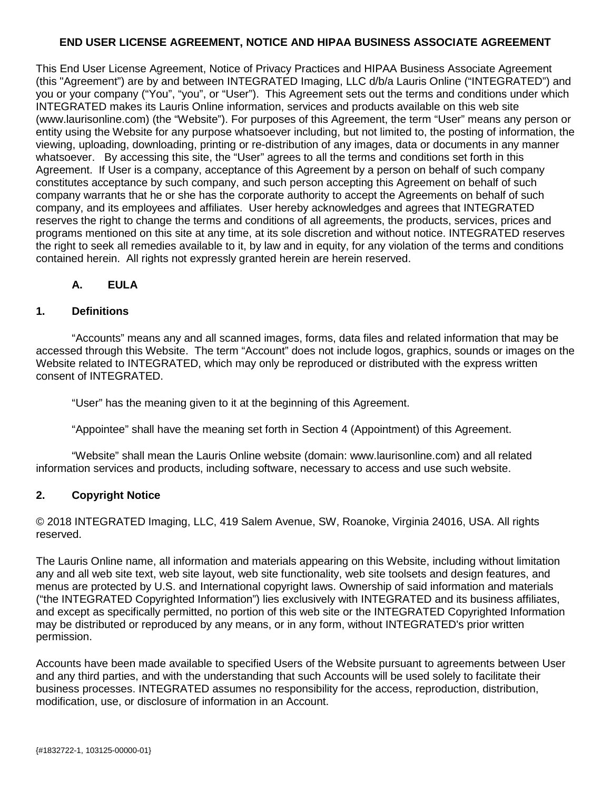#### **END USER LICENSE AGREEMENT, NOTICE AND HIPAA BUSINESS ASSOCIATE AGREEMENT**

This End User License Agreement, Notice of Privacy Practices and HIPAA Business Associate Agreement (this "Agreement") are by and between INTEGRATED Imaging, LLC d/b/a Lauris Online ("INTEGRATED") and you or your company ("You", "you", or "User"). This Agreement sets out the terms and conditions under which INTEGRATED makes its Lauris Online information, services and products available on this web site (www.laurisonline.com) (the "Website"). For purposes of this Agreement, the term "User" means any person or entity using the Website for any purpose whatsoever including, but not limited to, the posting of information, the viewing, uploading, downloading, printing or re-distribution of any images, data or documents in any manner whatsoever. By accessing this site, the "User" agrees to all the terms and conditions set forth in this Agreement. If User is a company, acceptance of this Agreement by a person on behalf of such company constitutes acceptance by such company, and such person accepting this Agreement on behalf of such company warrants that he or she has the corporate authority to accept the Agreements on behalf of such company, and its employees and affiliates. User hereby acknowledges and agrees that INTEGRATED reserves the right to change the terms and conditions of all agreements, the products, services, prices and programs mentioned on this site at any time, at its sole discretion and without notice. INTEGRATED reserves the right to seek all remedies available to it, by law and in equity, for any violation of the terms and conditions contained herein. All rights not expressly granted herein are herein reserved.

### **A. EULA**

#### **1. Definitions**

"Accounts" means any and all scanned images, forms, data files and related information that may be accessed through this Website. The term "Account" does not include logos, graphics, sounds or images on the Website related to INTEGRATED, which may only be reproduced or distributed with the express written consent of INTEGRATED.

"User" has the meaning given to it at the beginning of this Agreement.

"Appointee" shall have the meaning set forth in Section 4 (Appointment) of this Agreement.

"Website" shall mean the Lauris Online website (domain: www.laurisonline.com) and all related information services and products, including software, necessary to access and use such website.

#### **2. Copyright Notice**

© 2018 INTEGRATED Imaging, LLC, 419 Salem Avenue, SW, Roanoke, Virginia 24016, USA. All rights reserved.

The Lauris Online name, all information and materials appearing on this Website, including without limitation any and all web site text, web site layout, web site functionality, web site toolsets and design features, and menus are protected by U.S. and International copyright laws. Ownership of said information and materials ("the INTEGRATED Copyrighted Information") lies exclusively with INTEGRATED and its business affiliates, and except as specifically permitted, no portion of this web site or the INTEGRATED Copyrighted Information may be distributed or reproduced by any means, or in any form, without INTEGRATED's prior written permission.

Accounts have been made available to specified Users of the Website pursuant to agreements between User and any third parties, and with the understanding that such Accounts will be used solely to facilitate their business processes. INTEGRATED assumes no responsibility for the access, reproduction, distribution, modification, use, or disclosure of information in an Account.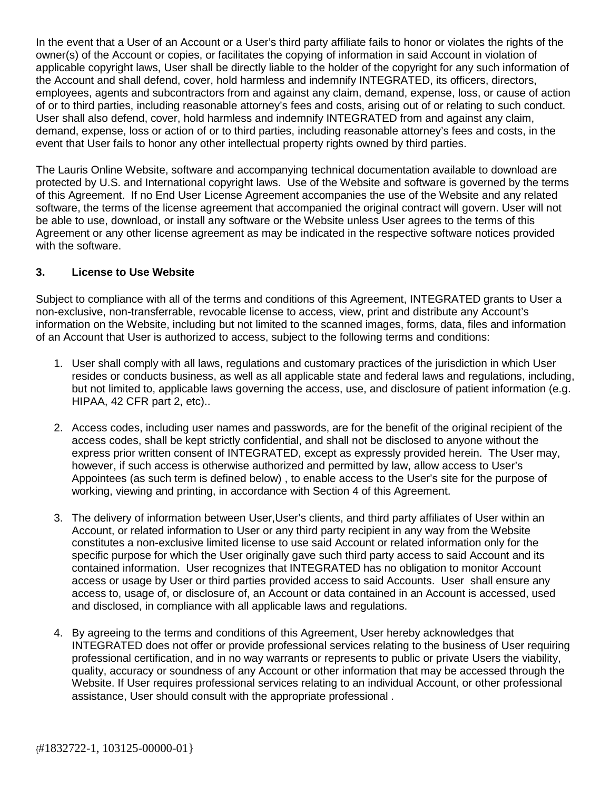In the event that a User of an Account or a User's third party affiliate fails to honor or violates the rights of the owner(s) of the Account or copies, or facilitates the copying of information in said Account in violation of applicable copyright laws, User shall be directly liable to the holder of the copyright for any such information of the Account and shall defend, cover, hold harmless and indemnify INTEGRATED, its officers, directors, employees, agents and subcontractors from and against any claim, demand, expense, loss, or cause of action of or to third parties, including reasonable attorney's fees and costs, arising out of or relating to such conduct. User shall also defend, cover, hold harmless and indemnify INTEGRATED from and against any claim, demand, expense, loss or action of or to third parties, including reasonable attorney's fees and costs, in the event that User fails to honor any other intellectual property rights owned by third parties.

The Lauris Online Website, software and accompanying technical documentation available to download are protected by U.S. and International copyright laws. Use of the Website and software is governed by the terms of this Agreement. If no End User License Agreement accompanies the use of the Website and any related software, the terms of the license agreement that accompanied the original contract will govern. User will not be able to use, download, or install any software or the Website unless User agrees to the terms of this Agreement or any other license agreement as may be indicated in the respective software notices provided with the software.

#### **3. License to Use Website**

Subject to compliance with all of the terms and conditions of this Agreement, INTEGRATED grants to User a non-exclusive, non-transferrable, revocable license to access, view, print and distribute any Account's information on the Website, including but not limited to the scanned images, forms, data, files and information of an Account that User is authorized to access, subject to the following terms and conditions:

- 1. User shall comply with all laws, regulations and customary practices of the jurisdiction in which User resides or conducts business, as well as all applicable state and federal laws and regulations, including, but not limited to, applicable laws governing the access, use, and disclosure of patient information (e.g. HIPAA, 42 CFR part 2, etc)..
- 2. Access codes, including user names and passwords, are for the benefit of the original recipient of the access codes, shall be kept strictly confidential, and shall not be disclosed to anyone without the express prior written consent of INTEGRATED, except as expressly provided herein. The User may, however, if such access is otherwise authorized and permitted by law, allow access to User's Appointees (as such term is defined below) , to enable access to the User's site for the purpose of working, viewing and printing, in accordance with Section 4 of this Agreement.
- 3. The delivery of information between User,User's clients, and third party affiliates of User within an Account, or related information to User or any third party recipient in any way from the Website constitutes a non-exclusive limited license to use said Account or related information only for the specific purpose for which the User originally gave such third party access to said Account and its contained information. User recognizes that INTEGRATED has no obligation to monitor Account access or usage by User or third parties provided access to said Accounts. User shall ensure any access to, usage of, or disclosure of, an Account or data contained in an Account is accessed, used and disclosed, in compliance with all applicable laws and regulations.
- 4. By agreeing to the terms and conditions of this Agreement, User hereby acknowledges that INTEGRATED does not offer or provide professional services relating to the business of User requiring professional certification, and in no way warrants or represents to public or private Users the viability, quality, accuracy or soundness of any Account or other information that may be accessed through the Website. If User requires professional services relating to an individual Account, or other professional assistance, User should consult with the appropriate professional .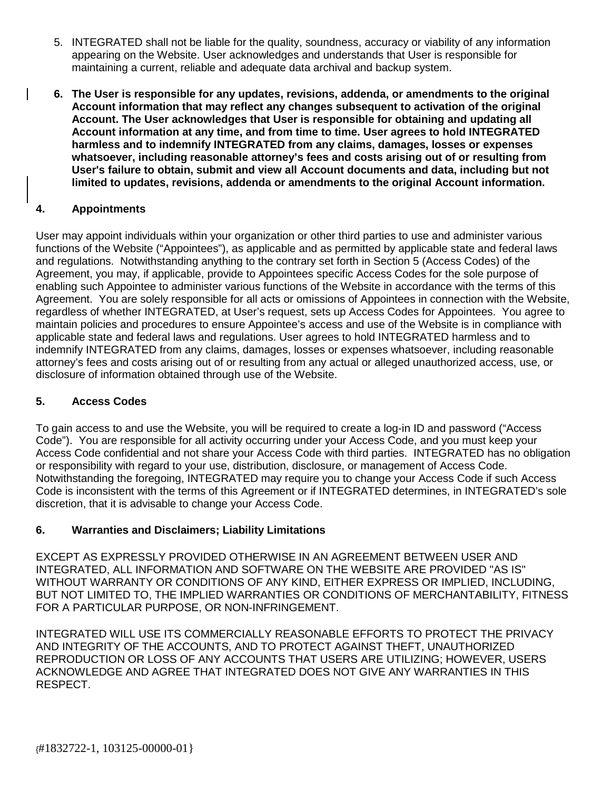- 5. INTEGRATED shall not be liable for the quality, soundness, accuracy or viability of any information appearing on the Website. User acknowledges and understands that User is responsible for maintaining a current, reliable and adequate data archival and backup system.
- **6. The User is responsible for any updates, revisions, addenda, or amendments to the original Account information that may reflect any changes subsequent to activation of the original Account. The User acknowledges that User is responsible for obtaining and updating all Account information at any time, and from time to time. User agrees to hold INTEGRATED harmless and to indemnify INTEGRATED from any claims, damages, losses or expenses whatsoever, including reasonable attorney's fees and costs arising out of or resulting from User's failure to obtain, submit and view all Account documents and data, including but not limited to updates, revisions, addenda or amendments to the original Account information.**

# **4. Appointments**

User may appoint individuals within your organization or other third parties to use and administer various functions of the Website ("Appointees"), as applicable and as permitted by applicable state and federal laws and regulations. Notwithstanding anything to the contrary set forth in Section 5 (Access Codes) of the Agreement, you may, if applicable, provide to Appointees specific Access Codes for the sole purpose of enabling such Appointee to administer various functions of the Website in accordance with the terms of this Agreement. You are solely responsible for all acts or omissions of Appointees in connection with the Website, regardless of whether INTEGRATED, at User's request, sets up Access Codes for Appointees. You agree to maintain policies and procedures to ensure Appointee's access and use of the Website is in compliance with applicable state and federal laws and regulations. User agrees to hold INTEGRATED harmless and to indemnify INTEGRATED from any claims, damages, losses or expenses whatsoever, including reasonable attorney's fees and costs arising out of or resulting from any actual or alleged unauthorized access, use, or disclosure of information obtained through use of the Website.

### **5. Access Codes**

To gain access to and use the Website, you will be required to create a log-in ID and password ("Access Code"). You are responsible for all activity occurring under your Access Code, and you must keep your Access Code confidential and not share your Access Code with third parties. INTEGRATED has no obligation or responsibility with regard to your use, distribution, disclosure, or management of Access Code. Notwithstanding the foregoing, INTEGRATED may require you to change your Access Code if such Access Code is inconsistent with the terms of this Agreement or if INTEGRATED determines, in INTEGRATED's sole discretion, that it is advisable to change your Access Code.

### **6. Warranties and Disclaimers; Liability Limitations**

EXCEPT AS EXPRESSLY PROVIDED OTHERWISE IN AN AGREEMENT BETWEEN USER AND INTEGRATED, ALL INFORMATION AND SOFTWARE ON THE WEBSITE ARE PROVIDED "AS IS" WITHOUT WARRANTY OR CONDITIONS OF ANY KIND, EITHER EXPRESS OR IMPLIED, INCLUDING, BUT NOT LIMITED TO, THE IMPLIED WARRANTIES OR CONDITIONS OF MERCHANTABILITY, FITNESS FOR A PARTICULAR PURPOSE, OR NON-INFRINGEMENT.

INTEGRATED WILL USE ITS COMMERCIALLY REASONABLE EFFORTS TO PROTECT THE PRIVACY AND INTEGRITY OF THE ACCOUNTS, AND TO PROTECT AGAINST THEFT, UNAUTHORIZED REPRODUCTION OR LOSS OF ANY ACCOUNTS THAT USERS ARE UTILIZING; HOWEVER, USERS ACKNOWLEDGE AND AGREE THAT INTEGRATED DOES NOT GIVE ANY WARRANTIES IN THIS RESPECT.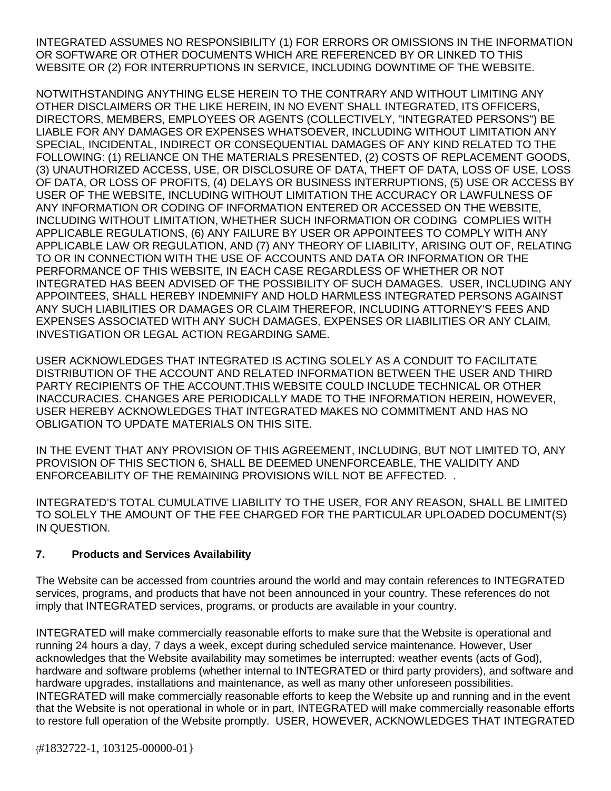INTEGRATED ASSUMES NO RESPONSIBILITY (1) FOR ERRORS OR OMISSIONS IN THE INFORMATION OR SOFTWARE OR OTHER DOCUMENTS WHICH ARE REFERENCED BY OR LINKED TO THIS WEBSITE OR (2) FOR INTERRUPTIONS IN SERVICE, INCLUDING DOWNTIME OF THE WEBSITE.

NOTWITHSTANDING ANYTHING ELSE HEREIN TO THE CONTRARY AND WITHOUT LIMITING ANY OTHER DISCLAIMERS OR THE LIKE HEREIN, IN NO EVENT SHALL INTEGRATED, ITS OFFICERS, DIRECTORS, MEMBERS, EMPLOYEES OR AGENTS (COLLECTIVELY, "INTEGRATED PERSONS") BE LIABLE FOR ANY DAMAGES OR EXPENSES WHATSOEVER, INCLUDING WITHOUT LIMITATION ANY SPECIAL, INCIDENTAL, INDIRECT OR CONSEQUENTIAL DAMAGES OF ANY KIND RELATED TO THE FOLLOWING: (1) RELIANCE ON THE MATERIALS PRESENTED, (2) COSTS OF REPLACEMENT GOODS, (3) UNAUTHORIZED ACCESS, USE, OR DISCLOSURE OF DATA, THEFT OF DATA, LOSS OF USE, LOSS OF DATA, OR LOSS OF PROFITS, (4) DELAYS OR BUSINESS INTERRUPTIONS, (5) USE OR ACCESS BY USER OF THE WEBSITE, INCLUDING WITHOUT LIMITATION THE ACCURACY OR LAWFULNESS OF ANY INFORMATION OR CODING OF INFORMATION ENTERED OR ACCESSED ON THE WEBSITE, INCLUDING WITHOUT LIMITATION, WHETHER SUCH INFORMATION OR CODING COMPLIES WITH APPLICABLE REGULATIONS, (6) ANY FAILURE BY USER OR APPOINTEES TO COMPLY WITH ANY APPLICABLE LAW OR REGULATION, AND (7) ANY THEORY OF LIABILITY, ARISING OUT OF, RELATING TO OR IN CONNECTION WITH THE USE OF ACCOUNTS AND DATA OR INFORMATION OR THE PERFORMANCE OF THIS WEBSITE, IN EACH CASE REGARDLESS OF WHETHER OR NOT INTEGRATED HAS BEEN ADVISED OF THE POSSIBILITY OF SUCH DAMAGES. USER, INCLUDING ANY APPOINTEES, SHALL HEREBY INDEMNIFY AND HOLD HARMLESS INTEGRATED PERSONS AGAINST ANY SUCH LIABILITIES OR DAMAGES OR CLAIM THEREFOR, INCLUDING ATTORNEY'S FEES AND EXPENSES ASSOCIATED WITH ANY SUCH DAMAGES, EXPENSES OR LIABILITIES OR ANY CLAIM, INVESTIGATION OR LEGAL ACTION REGARDING SAME.

USER ACKNOWLEDGES THAT INTEGRATED IS ACTING SOLELY AS A CONDUIT TO FACILITATE DISTRIBUTION OF THE ACCOUNT AND RELATED INFORMATION BETWEEN THE USER AND THIRD PARTY RECIPIENTS OF THE ACCOUNT.THIS WEBSITE COULD INCLUDE TECHNICAL OR OTHER INACCURACIES. CHANGES ARE PERIODICALLY MADE TO THE INFORMATION HEREIN, HOWEVER, USER HEREBY ACKNOWLEDGES THAT INTEGRATED MAKES NO COMMITMENT AND HAS NO OBLIGATION TO UPDATE MATERIALS ON THIS SITE.

IN THE EVENT THAT ANY PROVISION OF THIS AGREEMENT, INCLUDING, BUT NOT LIMITED TO, ANY PROVISION OF THIS SECTION 6, SHALL BE DEEMED UNENFORCEABLE, THE VALIDITY AND ENFORCEABILITY OF THE REMAINING PROVISIONS WILL NOT BE AFFECTED. .

INTEGRATED'S TOTAL CUMULATIVE LIABILITY TO THE USER, FOR ANY REASON, SHALL BE LIMITED TO SOLELY THE AMOUNT OF THE FEE CHARGED FOR THE PARTICULAR UPLOADED DOCUMENT(S) IN QUESTION.

### **7. Products and Services Availability**

The Website can be accessed from countries around the world and may contain references to INTEGRATED services, programs, and products that have not been announced in your country. These references do not imply that INTEGRATED services, programs, or products are available in your country.

INTEGRATED will make commercially reasonable efforts to make sure that the Website is operational and running 24 hours a day, 7 days a week, except during scheduled service maintenance. However, User acknowledges that the Website availability may sometimes be interrupted: weather events (acts of God), hardware and software problems (whether internal to INTEGRATED or third party providers), and software and hardware upgrades, installations and maintenance, as well as many other unforeseen possibilities. INTEGRATED will make commercially reasonable efforts to keep the Website up and running and in the event that the Website is not operational in whole or in part, INTEGRATED will make commercially reasonable efforts to restore full operation of the Website promptly. USER, HOWEVER, ACKNOWLEDGES THAT INTEGRATED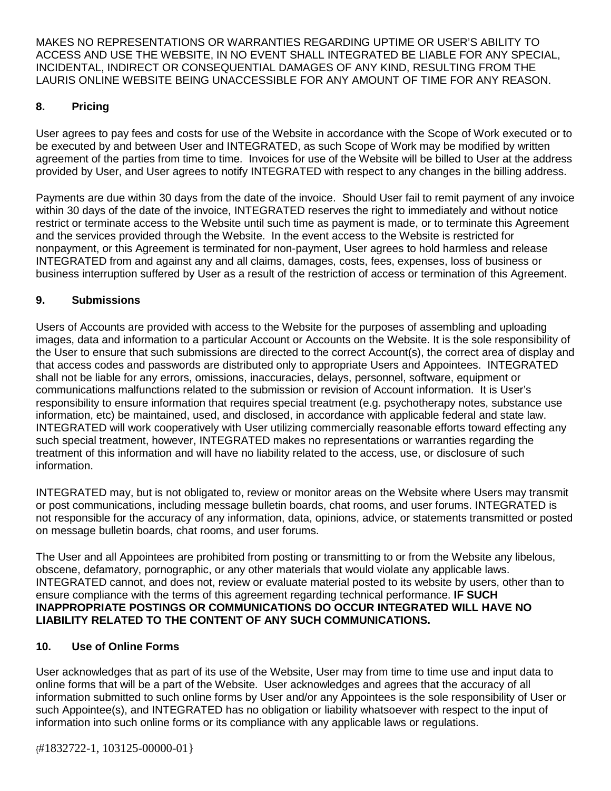MAKES NO REPRESENTATIONS OR WARRANTIES REGARDING UPTIME OR USER'S ABILITY TO ACCESS AND USE THE WEBSITE, IN NO EVENT SHALL INTEGRATED BE LIABLE FOR ANY SPECIAL, INCIDENTAL, INDIRECT OR CONSEQUENTIAL DAMAGES OF ANY KIND, RESULTING FROM THE LAURIS ONLINE WEBSITE BEING UNACCESSIBLE FOR ANY AMOUNT OF TIME FOR ANY REASON.

# **8. Pricing**

User agrees to pay fees and costs for use of the Website in accordance with the Scope of Work executed or to be executed by and between User and INTEGRATED, as such Scope of Work may be modified by written agreement of the parties from time to time. Invoices for use of the Website will be billed to User at the address provided by User, and User agrees to notify INTEGRATED with respect to any changes in the billing address.

Payments are due within 30 days from the date of the invoice. Should User fail to remit payment of any invoice within 30 days of the date of the invoice, INTEGRATED reserves the right to immediately and without notice restrict or terminate access to the Website until such time as payment is made, or to terminate this Agreement and the services provided through the Website. In the event access to the Website is restricted for nonpayment, or this Agreement is terminated for non-payment, User agrees to hold harmless and release INTEGRATED from and against any and all claims, damages, costs, fees, expenses, loss of business or business interruption suffered by User as a result of the restriction of access or termination of this Agreement.

### **9. Submissions**

Users of Accounts are provided with access to the Website for the purposes of assembling and uploading images, data and information to a particular Account or Accounts on the Website. It is the sole responsibility of the User to ensure that such submissions are directed to the correct Account(s), the correct area of display and that access codes and passwords are distributed only to appropriate Users and Appointees. INTEGRATED shall not be liable for any errors, omissions, inaccuracies, delays, personnel, software, equipment or communications malfunctions related to the submission or revision of Account information. It is User's responsibility to ensure information that requires special treatment (e.g. psychotherapy notes, substance use information, etc) be maintained, used, and disclosed, in accordance with applicable federal and state law. INTEGRATED will work cooperatively with User utilizing commercially reasonable efforts toward effecting any such special treatment, however, INTEGRATED makes no representations or warranties regarding the treatment of this information and will have no liability related to the access, use, or disclosure of such information.

INTEGRATED may, but is not obligated to, review or monitor areas on the Website where Users may transmit or post communications, including message bulletin boards, chat rooms, and user forums. INTEGRATED is not responsible for the accuracy of any information, data, opinions, advice, or statements transmitted or posted on message bulletin boards, chat rooms, and user forums.

The User and all Appointees are prohibited from posting or transmitting to or from the Website any libelous, obscene, defamatory, pornographic, or any other materials that would violate any applicable laws. INTEGRATED cannot, and does not, review or evaluate material posted to its website by users, other than to ensure compliance with the terms of this agreement regarding technical performance. **IF SUCH INAPPROPRIATE POSTINGS OR COMMUNICATIONS DO OCCUR INTEGRATED WILL HAVE NO LIABILITY RELATED TO THE CONTENT OF ANY SUCH COMMUNICATIONS.**

### **10. Use of Online Forms**

User acknowledges that as part of its use of the Website, User may from time to time use and input data to online forms that will be a part of the Website. User acknowledges and agrees that the accuracy of all information submitted to such online forms by User and/or any Appointees is the sole responsibility of User or such Appointee(s), and INTEGRATED has no obligation or liability whatsoever with respect to the input of information into such online forms or its compliance with any applicable laws or regulations.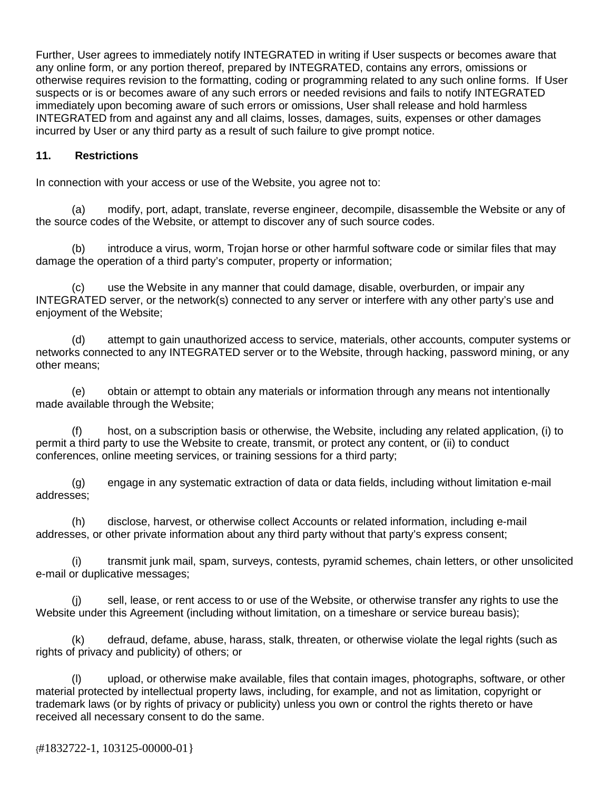Further, User agrees to immediately notify INTEGRATED in writing if User suspects or becomes aware that any online form, or any portion thereof, prepared by INTEGRATED, contains any errors, omissions or otherwise requires revision to the formatting, coding or programming related to any such online forms. If User suspects or is or becomes aware of any such errors or needed revisions and fails to notify INTEGRATED immediately upon becoming aware of such errors or omissions, User shall release and hold harmless INTEGRATED from and against any and all claims, losses, damages, suits, expenses or other damages incurred by User or any third party as a result of such failure to give prompt notice.

### **11. Restrictions**

In connection with your access or use of the Website, you agree not to:

(a) modify, port, adapt, translate, reverse engineer, decompile, disassemble the Website or any of the source codes of the Website, or attempt to discover any of such source codes.

(b) introduce a virus, worm, Trojan horse or other harmful software code or similar files that may damage the operation of a third party's computer, property or information;

(c) use the Website in any manner that could damage, disable, overburden, or impair any INTEGRATED server, or the network(s) connected to any server or interfere with any other party's use and enjoyment of the Website;

(d) attempt to gain unauthorized access to service, materials, other accounts, computer systems or networks connected to any INTEGRATED server or to the Website, through hacking, password mining, or any other means;

(e) obtain or attempt to obtain any materials or information through any means not intentionally made available through the Website;

(f) host, on a subscription basis or otherwise, the Website, including any related application, (i) to permit a third party to use the Website to create, transmit, or protect any content, or (ii) to conduct conferences, online meeting services, or training sessions for a third party;

(g) engage in any systematic extraction of data or data fields, including without limitation e-mail addresses;

(h) disclose, harvest, or otherwise collect Accounts or related information, including e-mail addresses, or other private information about any third party without that party's express consent;

(i) transmit junk mail, spam, surveys, contests, pyramid schemes, chain letters, or other unsolicited e-mail or duplicative messages;

(j) sell, lease, or rent access to or use of the Website, or otherwise transfer any rights to use the Website under this Agreement (including without limitation, on a timeshare or service bureau basis);

(k) defraud, defame, abuse, harass, stalk, threaten, or otherwise violate the legal rights (such as rights of privacy and publicity) of others; or

(l) upload, or otherwise make available, files that contain images, photographs, software, or other material protected by intellectual property laws, including, for example, and not as limitation, copyright or trademark laws (or by rights of privacy or publicity) unless you own or control the rights thereto or have received all necessary consent to do the same.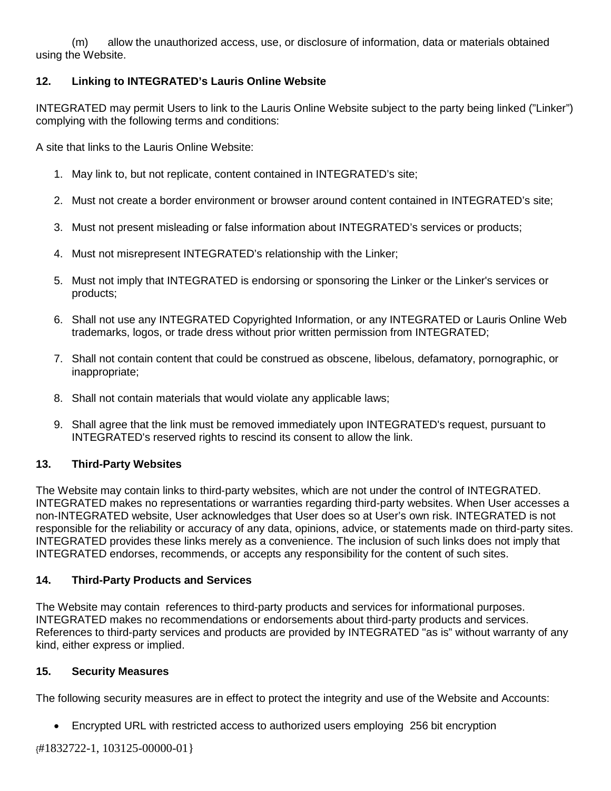(m) allow the unauthorized access, use, or disclosure of information, data or materials obtained using the Website.

### **12. Linking to INTEGRATED's Lauris Online Website**

INTEGRATED may permit Users to link to the Lauris Online Website subject to the party being linked ("Linker") complying with the following terms and conditions:

A site that links to the Lauris Online Website:

- 1. May link to, but not replicate, content contained in INTEGRATED's site;
- 2. Must not create a border environment or browser around content contained in INTEGRATED's site;
- 3. Must not present misleading or false information about INTEGRATED's services or products;
- 4. Must not misrepresent INTEGRATED's relationship with the Linker;
- 5. Must not imply that INTEGRATED is endorsing or sponsoring the Linker or the Linker's services or products;
- 6. Shall not use any INTEGRATED Copyrighted Information, or any INTEGRATED or Lauris Online Web trademarks, logos, or trade dress without prior written permission from INTEGRATED;
- 7. Shall not contain content that could be construed as obscene, libelous, defamatory, pornographic, or inappropriate;
- 8. Shall not contain materials that would violate any applicable laws;
- 9. Shall agree that the link must be removed immediately upon INTEGRATED's request, pursuant to INTEGRATED's reserved rights to rescind its consent to allow the link.

#### **13. Third-Party Websites**

The Website may contain links to third-party websites, which are not under the control of INTEGRATED. INTEGRATED makes no representations or warranties regarding third-party websites. When User accesses a non-INTEGRATED website, User acknowledges that User does so at User's own risk. INTEGRATED is not responsible for the reliability or accuracy of any data, opinions, advice, or statements made on third-party sites. INTEGRATED provides these links merely as a convenience. The inclusion of such links does not imply that INTEGRATED endorses, recommends, or accepts any responsibility for the content of such sites.

#### **14. Third-Party Products and Services**

The Website may contain references to third-party products and services for informational purposes. INTEGRATED makes no recommendations or endorsements about third-party products and services. References to third-party services and products are provided by INTEGRATED "as is" without warranty of any kind, either express or implied.

#### **15. Security Measures**

The following security measures are in effect to protect the integrity and use of the Website and Accounts:

• Encrypted URL with restricted access to authorized users employing 256 bit encryption

{#1832722-1, 103125-00000-01}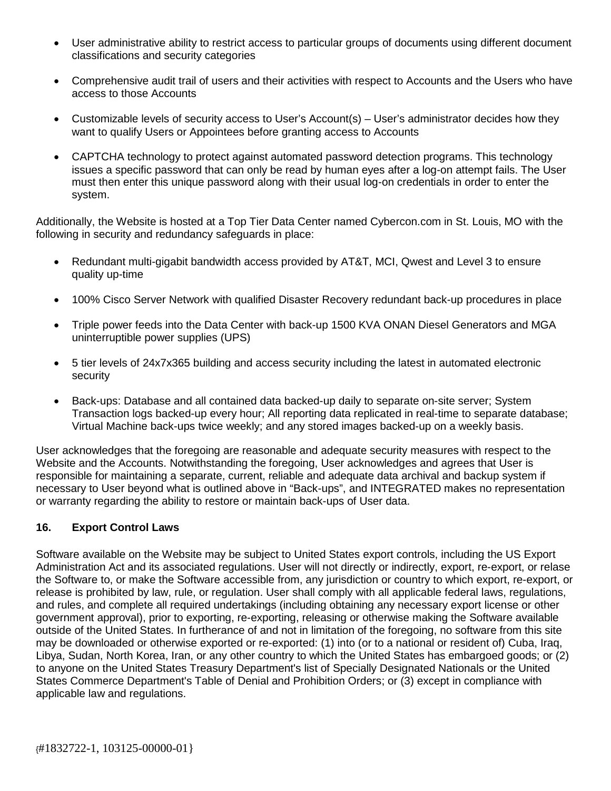- User administrative ability to restrict access to particular groups of documents using different document classifications and security categories
- Comprehensive audit trail of users and their activities with respect to Accounts and the Users who have access to those Accounts
- Customizable levels of security access to User's Account(s) User's administrator decides how they want to qualify Users or Appointees before granting access to Accounts
- CAPTCHA technology to protect against automated password detection programs. This technology issues a specific password that can only be read by human eyes after a log-on attempt fails. The User must then enter this unique password along with their usual log-on credentials in order to enter the system.

Additionally, the Website is hosted at a Top Tier Data Center named Cybercon.com in St. Louis, MO with the following in security and redundancy safeguards in place:

- Redundant multi-gigabit bandwidth access provided by AT&T, MCI, Qwest and Level 3 to ensure quality up-time
- 100% Cisco Server Network with qualified Disaster Recovery redundant back-up procedures in place
- Triple power feeds into the Data Center with back-up 1500 KVA ONAN Diesel Generators and MGA uninterruptible power supplies (UPS)
- 5 tier levels of 24x7x365 building and access security including the latest in automated electronic security
- Back-ups: Database and all contained data backed-up daily to separate on-site server; System Transaction logs backed-up every hour; All reporting data replicated in real-time to separate database; Virtual Machine back-ups twice weekly; and any stored images backed-up on a weekly basis.

User acknowledges that the foregoing are reasonable and adequate security measures with respect to the Website and the Accounts. Notwithstanding the foregoing, User acknowledges and agrees that User is responsible for maintaining a separate, current, reliable and adequate data archival and backup system if necessary to User beyond what is outlined above in "Back-ups", and INTEGRATED makes no representation or warranty regarding the ability to restore or maintain back-ups of User data.

### **16. Export Control Laws**

Software available on the Website may be subject to United States export controls, including the US Export Administration Act and its associated regulations. User will not directly or indirectly, export, re-export, or relase the Software to, or make the Software accessible from, any jurisdiction or country to which export, re-export, or release is prohibited by law, rule, or regulation. User shall comply with all applicable federal laws, regulations, and rules, and complete all required undertakings (including obtaining any necessary export license or other government approval), prior to exporting, re-exporting, releasing or otherwise making the Software available outside of the United States. In furtherance of and not in limitation of the foregoing, no software from this site may be downloaded or otherwise exported or re-exported: (1) into (or to a national or resident of) Cuba, Iraq, Libya, Sudan, North Korea, Iran, or any other country to which the United States has embargoed goods; or (2) to anyone on the United States Treasury Department's list of Specially Designated Nationals or the United States Commerce Department's Table of Denial and Prohibition Orders; or (3) except in compliance with applicable law and regulations.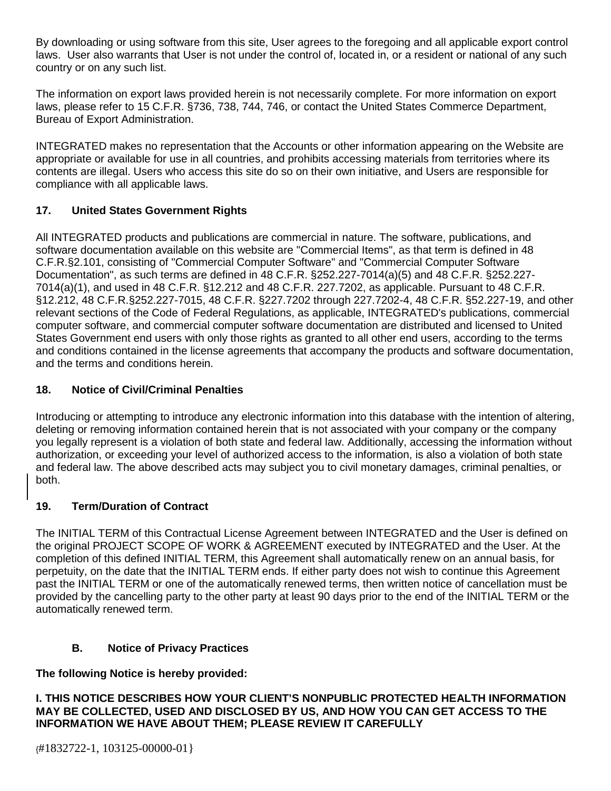By downloading or using software from this site, User agrees to the foregoing and all applicable export control laws. User also warrants that User is not under the control of, located in, or a resident or national of any such country or on any such list.

The information on export laws provided herein is not necessarily complete. For more information on export laws, please refer to 15 C.F.R. §736, 738, 744, 746, or contact the United States Commerce Department, Bureau of Export Administration.

INTEGRATED makes no representation that the Accounts or other information appearing on the Website are appropriate or available for use in all countries, and prohibits accessing materials from territories where its contents are illegal. Users who access this site do so on their own initiative, and Users are responsible for compliance with all applicable laws.

# **17. United States Government Rights**

All INTEGRATED products and publications are commercial in nature. The software, publications, and software documentation available on this website are "Commercial Items", as that term is defined in 48 C.F.R.§2.101, consisting of "Commercial Computer Software" and "Commercial Computer Software Documentation", as such terms are defined in 48 C.F.R. §252.227-7014(a)(5) and 48 C.F.R. §252.227- 7014(a)(1), and used in 48 C.F.R. §12.212 and 48 C.F.R. 227.7202, as applicable. Pursuant to 48 C.F.R. §12.212, 48 C.F.R.§252.227-7015, 48 C.F.R. §227.7202 through 227.7202-4, 48 C.F.R. §52.227-19, and other relevant sections of the Code of Federal Regulations, as applicable, INTEGRATED's publications, commercial computer software, and commercial computer software documentation are distributed and licensed to United States Government end users with only those rights as granted to all other end users, according to the terms and conditions contained in the license agreements that accompany the products and software documentation, and the terms and conditions herein.

## **18. Notice of Civil/Criminal Penalties**

Introducing or attempting to introduce any electronic information into this database with the intention of altering, deleting or removing information contained herein that is not associated with your company or the company you legally represent is a violation of both state and federal law. Additionally, accessing the information without authorization, or exceeding your level of authorized access to the information, is also a violation of both state and federal law. The above described acts may subject you to civil monetary damages, criminal penalties, or both.

### **19. Term/Duration of Contract**

The INITIAL TERM of this Contractual License Agreement between INTEGRATED and the User is defined on the original PROJECT SCOPE OF WORK & AGREEMENT executed by INTEGRATED and the User. At the completion of this defined INITIAL TERM, this Agreement shall automatically renew on an annual basis, for perpetuity, on the date that the INITIAL TERM ends. If either party does not wish to continue this Agreement past the INITIAL TERM or one of the automatically renewed terms, then written notice of cancellation must be provided by the cancelling party to the other party at least 90 days prior to the end of the INITIAL TERM or the automatically renewed term.

### **B. Notice of Privacy Practices**

### **The following Notice is hereby provided:**

**I. THIS NOTICE DESCRIBES HOW YOUR CLIENT'S NONPUBLIC PROTECTED HEALTH INFORMATION MAY BE COLLECTED, USED AND DISCLOSED BY US, AND HOW YOU CAN GET ACCESS TO THE INFORMATION WE HAVE ABOUT THEM; PLEASE REVIEW IT CAREFULLY**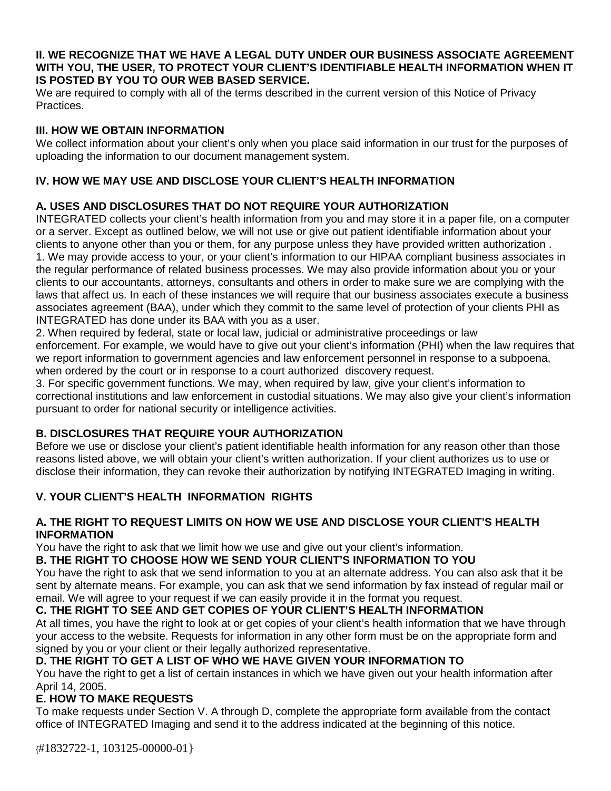#### **II. WE RECOGNIZE THAT WE HAVE A LEGAL DUTY UNDER OUR BUSINESS ASSOCIATE AGREEMENT WITH YOU, THE USER, TO PROTECT YOUR CLIENT'S IDENTIFIABLE HEALTH INFORMATION WHEN IT IS POSTED BY YOU TO OUR WEB BASED SERVICE.**

We are required to comply with all of the terms described in the current version of this Notice of Privacy Practices.

#### **III. HOW WE OBTAIN INFORMATION**

We collect information about your client's only when you place said information in our trust for the purposes of uploading the information to our document management system.

## **IV. HOW WE MAY USE AND DISCLOSE YOUR CLIENT'S HEALTH INFORMATION**

# **A. USES AND DISCLOSURES THAT DO NOT REQUIRE YOUR AUTHORIZATION**

INTEGRATED collects your client's health information from you and may store it in a paper file, on a computer or a server. Except as outlined below, we will not use or give out patient identifiable information about your clients to anyone other than you or them, for any purpose unless they have provided written authorization . 1. We may provide access to your, or your client's information to our HIPAA compliant business associates in the regular performance of related business processes. We may also provide information about you or your clients to our accountants, attorneys, consultants and others in order to make sure we are complying with the laws that affect us. In each of these instances we will require that our business associates execute a business associates agreement (BAA), under which they commit to the same level of protection of your clients PHI as INTEGRATED has done under its BAA with you as a user.

2. When required by federal, state or local law, judicial or administrative proceedings or law enforcement. For example, we would have to give out your client's information (PHI) when the law requires that we report information to government agencies and law enforcement personnel in response to a subpoena, when ordered by the court or in response to a court authorized discovery request.

3. For specific government functions. We may, when required by law, give your client's information to correctional institutions and law enforcement in custodial situations. We may also give your client's information pursuant to order for national security or intelligence activities.

### **B. DISCLOSURES THAT REQUIRE YOUR AUTHORIZATION**

Before we use or disclose your client's patient identifiable health information for any reason other than those reasons listed above, we will obtain your client's written authorization. If your client authorizes us to use or disclose their information, they can revoke their authorization by notifying INTEGRATED Imaging in writing.

### **V. YOUR CLIENT'S HEALTH INFORMATION RIGHTS**

#### **A. THE RIGHT TO REQUEST LIMITS ON HOW WE USE AND DISCLOSE YOUR CLIENT'S HEALTH INFORMATION**

You have the right to ask that we limit how we use and give out your client's information.

# **B. THE RIGHT TO CHOOSE HOW WE SEND YOUR CLIENT'S INFORMATION TO YOU**

You have the right to ask that we send information to you at an alternate address. You can also ask that it be sent by alternate means. For example, you can ask that we send information by fax instead of regular mail or email. We will agree to your request if we can easily provide it in the format you request.

### **C. THE RIGHT TO SEE AND GET COPIES OF YOUR CLIENT'S HEALTH INFORMATION**

At all times, you have the right to look at or get copies of your client's health information that we have through your access to the website. Requests for information in any other form must be on the appropriate form and signed by you or your client or their legally authorized representative.

# **D. THE RIGHT TO GET A LIST OF WHO WE HAVE GIVEN YOUR INFORMATION TO**

You have the right to get a list of certain instances in which we have given out your health information after April 14, 2005.

### **E. HOW TO MAKE REQUESTS**

To make requests under Section V. A through D, complete the appropriate form available from the contact office of INTEGRATED Imaging and send it to the address indicated at the beginning of this notice.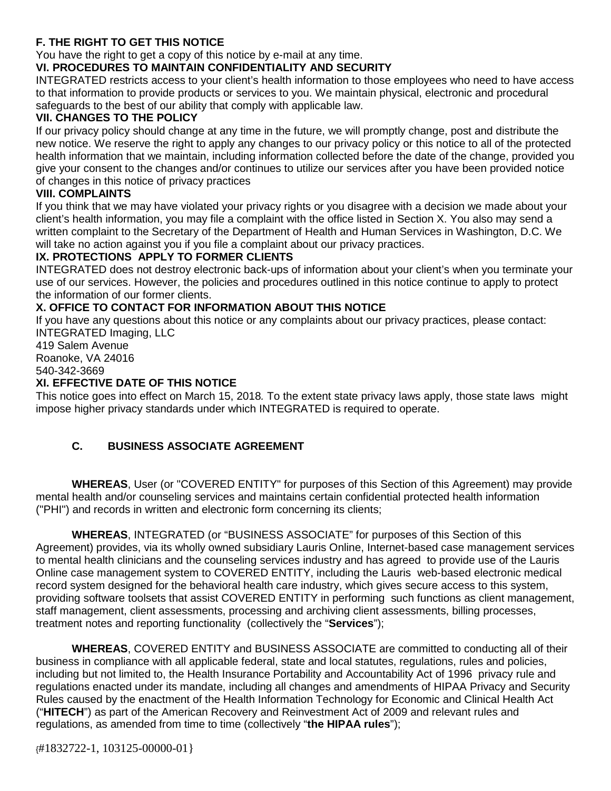# **F. THE RIGHT TO GET THIS NOTICE**

You have the right to get a copy of this notice by e-mail at any time.

## **VI. PROCEDURES TO MAINTAIN CONFIDENTIALITY AND SECURITY**

INTEGRATED restricts access to your client's health information to those employees who need to have access to that information to provide products or services to you. We maintain physical, electronic and procedural safeguards to the best of our ability that comply with applicable law.

#### **VII. CHANGES TO THE POLICY**

If our privacy policy should change at any time in the future, we will promptly change, post and distribute the new notice. We reserve the right to apply any changes to our privacy policy or this notice to all of the protected health information that we maintain, including information collected before the date of the change, provided you give your consent to the changes and/or continues to utilize our services after you have been provided notice of changes in this notice of privacy practices

#### **VIII. COMPLAINTS**

If you think that we may have violated your privacy rights or you disagree with a decision we made about your client's health information, you may file a complaint with the office listed in Section X. You also may send a written complaint to the Secretary of the Department of Health and Human Services in Washington, D.C. We will take no action against you if you file a complaint about our privacy practices.

#### **IX. PROTECTIONS APPLY TO FORMER CLIENTS**

INTEGRATED does not destroy electronic back-ups of information about your client's when you terminate your use of our services. However, the policies and procedures outlined in this notice continue to apply to protect the information of our former clients.

#### **X. OFFICE TO CONTACT FOR INFORMATION ABOUT THIS NOTICE**

If you have any questions about this notice or any complaints about our privacy practices, please contact: INTEGRATED Imaging, LLC

419 Salem Avenue Roanoke, VA 24016 540-342-3669

#### **XI. EFFECTIVE DATE OF THIS NOTICE**

This notice goes into effect on March 15, 2018*.* To the extent state privacy laws apply, those state laws might impose higher privacy standards under which INTEGRATED is required to operate.

### **C. BUSINESS ASSOCIATE AGREEMENT**

**WHEREAS**, User (or "COVERED ENTITY" for purposes of this Section of this Agreement) may provide mental health and/or counseling services and maintains certain confidential protected health information ("PHI") and records in written and electronic form concerning its clients;

**WHEREAS**, INTEGRATED (or "BUSINESS ASSOCIATE" for purposes of this Section of this Agreement) provides, via its wholly owned subsidiary Lauris Online, Internet-based case management services to mental health clinicians and the counseling services industry and has agreed to provide use of the Lauris Online case management system to COVERED ENTITY, including the Lauris web-based electronic medical record system designed for the behavioral health care industry, which gives secure access to this system, providing software toolsets that assist COVERED ENTITY in performing such functions as client management, staff management, client assessments, processing and archiving client assessments, billing processes, treatment notes and reporting functionality (collectively the "**Services**");

**WHEREAS**, COVERED ENTITY and BUSINESS ASSOCIATE are committed to conducting all of their business in compliance with all applicable federal, state and local statutes, regulations, rules and policies, including but not limited to, the Health Insurance Portability and Accountability Act of 1996 privacy rule and regulations enacted under its mandate, including all changes and amendments of HIPAA Privacy and Security Rules caused by the enactment of the Health Information Technology for Economic and Clinical Health Act ("**HITECH**") as part of the American Recovery and Reinvestment Act of 2009 and relevant rules and regulations, as amended from time to time (collectively "**the HIPAA rules**");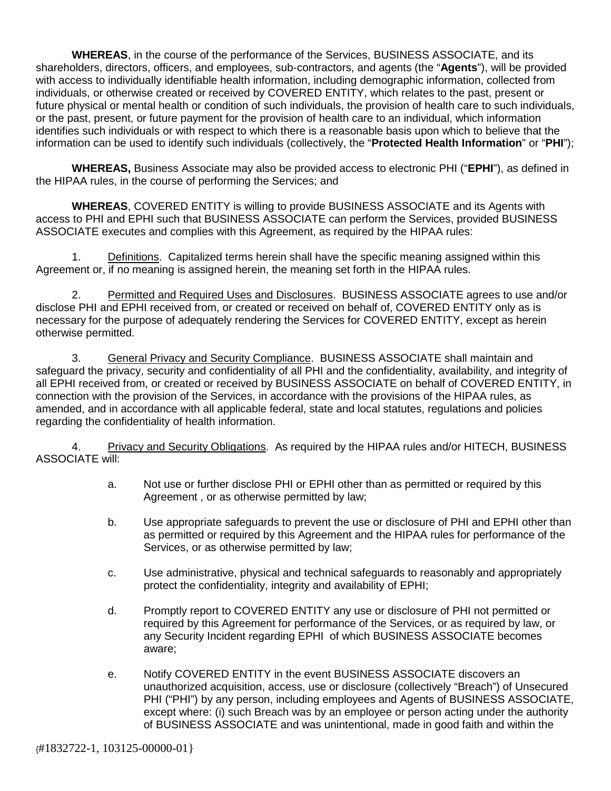**WHEREAS**, in the course of the performance of the Services, BUSINESS ASSOCIATE, and its shareholders, directors, officers, and employees, sub-contractors, and agents (the "**Agents**"), will be provided with access to individually identifiable health information, including demographic information, collected from individuals, or otherwise created or received by COVERED ENTITY, which relates to the past, present or future physical or mental health or condition of such individuals, the provision of health care to such individuals, or the past, present, or future payment for the provision of health care to an individual, which information identifies such individuals or with respect to which there is a reasonable basis upon which to believe that the information can be used to identify such individuals (collectively, the "**Protected Health Information**" or "**PHI**");

**WHEREAS,** Business Associate may also be provided access to electronic PHI ("**EPHI**"), as defined in the HIPAA rules, in the course of performing the Services; and

**WHEREAS**, COVERED ENTITY is willing to provide BUSINESS ASSOCIATE and its Agents with access to PHI and EPHI such that BUSINESS ASSOCIATE can perform the Services, provided BUSINESS ASSOCIATE executes and complies with this Agreement, as required by the HIPAA rules:

1. Definitions. Capitalized terms herein shall have the specific meaning assigned within this Agreement or, if no meaning is assigned herein, the meaning set forth in the HIPAA rules.

2. Permitted and Required Uses and Disclosures. BUSINESS ASSOCIATE agrees to use and/or disclose PHI and EPHI received from, or created or received on behalf of, COVERED ENTITY only as is necessary for the purpose of adequately rendering the Services for COVERED ENTITY, except as herein otherwise permitted.

3. General Privacy and Security Compliance. BUSINESS ASSOCIATE shall maintain and safeguard the privacy, security and confidentiality of all PHI and the confidentiality, availability, and integrity of all EPHI received from, or created or received by BUSINESS ASSOCIATE on behalf of COVERED ENTITY, in connection with the provision of the Services, in accordance with the provisions of the HIPAA rules, as amended, and in accordance with all applicable federal, state and local statutes, regulations and policies regarding the confidentiality of health information.

4. Privacy and Security Obligations. As required by the HIPAA rules and/or HITECH, BUSINESS ASSOCIATE will:

- a. Not use or further disclose PHI or EPHI other than as permitted or required by this Agreement , or as otherwise permitted by law;
- b. Use appropriate safeguards to prevent the use or disclosure of PHI and EPHI other than as permitted or required by this Agreement and the HIPAA rules for performance of the Services, or as otherwise permitted by law;
- c. Use administrative, physical and technical safeguards to reasonably and appropriately protect the confidentiality, integrity and availability of EPHI;
- d. Promptly report to COVERED ENTITY any use or disclosure of PHI not permitted or required by this Agreement for performance of the Services, or as required by law, or any Security Incident regarding EPHI of which BUSINESS ASSOCIATE becomes aware;
- e. Notify COVERED ENTITY in the event BUSINESS ASSOCIATE discovers an unauthorized acquisition, access, use or disclosure (collectively "Breach") of Unsecured PHI ("PHI") by any person, including employees and Agents of BUSINESS ASSOCIATE, except where: (i) such Breach was by an employee or person acting under the authority of BUSINESS ASSOCIATE and was unintentional, made in good faith and within the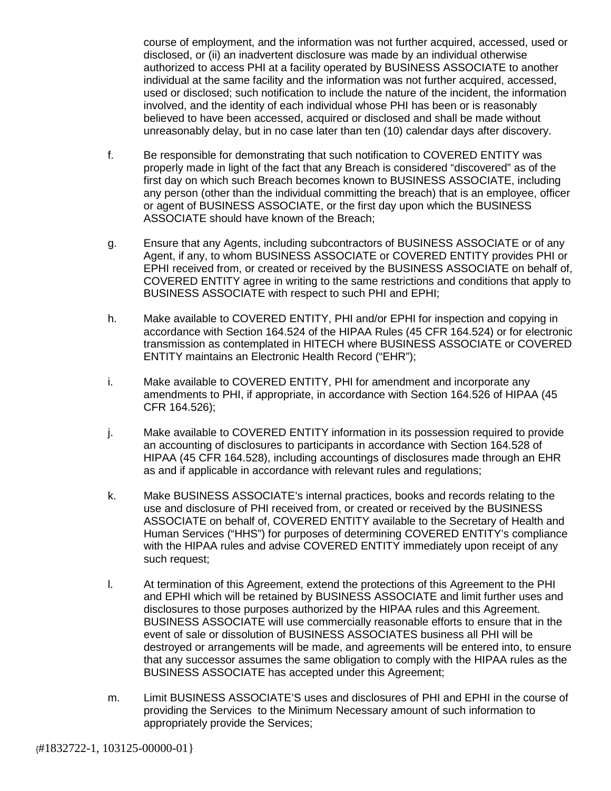course of employment, and the information was not further acquired, accessed, used or disclosed, or (ii) an inadvertent disclosure was made by an individual otherwise authorized to access PHI at a facility operated by BUSINESS ASSOCIATE to another individual at the same facility and the information was not further acquired, accessed, used or disclosed; such notification to include the nature of the incident, the information involved, and the identity of each individual whose PHI has been or is reasonably believed to have been accessed, acquired or disclosed and shall be made without unreasonably delay, but in no case later than ten (10) calendar days after discovery.

- f. Be responsible for demonstrating that such notification to COVERED ENTITY was properly made in light of the fact that any Breach is considered "discovered" as of the first day on which such Breach becomes known to BUSINESS ASSOCIATE, including any person (other than the individual committing the breach) that is an employee, officer or agent of BUSINESS ASSOCIATE, or the first day upon which the BUSINESS ASSOCIATE should have known of the Breach;
- g. Ensure that any Agents, including subcontractors of BUSINESS ASSOCIATE or of any Agent, if any, to whom BUSINESS ASSOCIATE or COVERED ENTITY provides PHI or EPHI received from, or created or received by the BUSINESS ASSOCIATE on behalf of, COVERED ENTITY agree in writing to the same restrictions and conditions that apply to BUSINESS ASSOCIATE with respect to such PHI and EPHI;
- h. Make available to COVERED ENTITY, PHI and/or EPHI for inspection and copying in accordance with Section 164.524 of the HIPAA Rules (45 CFR 164.524) or for electronic transmission as contemplated in HITECH where BUSINESS ASSOCIATE or COVERED ENTITY maintains an Electronic Health Record ("EHR");
- i. Make available to COVERED ENTITY, PHI for amendment and incorporate any amendments to PHI, if appropriate, in accordance with Section 164.526 of HIPAA (45 CFR 164.526);
- j. Make available to COVERED ENTITY information in its possession required to provide an accounting of disclosures to participants in accordance with Section 164.528 of HIPAA (45 CFR 164.528), including accountings of disclosures made through an EHR as and if applicable in accordance with relevant rules and regulations;
- k. Make BUSINESS ASSOCIATE's internal practices, books and records relating to the use and disclosure of PHI received from, or created or received by the BUSINESS ASSOCIATE on behalf of, COVERED ENTITY available to the Secretary of Health and Human Services ("HHS") for purposes of determining COVERED ENTITY's compliance with the HIPAA rules and advise COVERED ENTITY immediately upon receipt of any such request;
- l. At termination of this Agreement, extend the protections of this Agreement to the PHI and EPHI which will be retained by BUSINESS ASSOCIATE and limit further uses and disclosures to those purposes authorized by the HIPAA rules and this Agreement. BUSINESS ASSOCIATE will use commercially reasonable efforts to ensure that in the event of sale or dissolution of BUSINESS ASSOCIATES business all PHI will be destroyed or arrangements will be made, and agreements will be entered into, to ensure that any successor assumes the same obligation to comply with the HIPAA rules as the BUSINESS ASSOCIATE has accepted under this Agreement;
- m. Limit BUSINESS ASSOCIATE'S uses and disclosures of PHI and EPHI in the course of providing the Services to the Minimum Necessary amount of such information to appropriately provide the Services;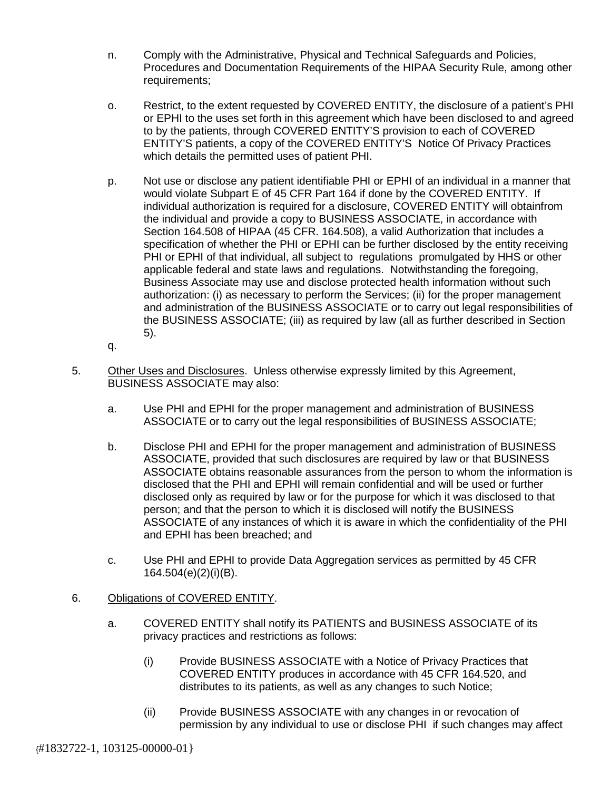- n. Comply with the Administrative, Physical and Technical Safeguards and Policies, Procedures and Documentation Requirements of the HIPAA Security Rule, among other requirements;
- o. Restrict, to the extent requested by COVERED ENTITY, the disclosure of a patient's PHI or EPHI to the uses set forth in this agreement which have been disclosed to and agreed to by the patients, through COVERED ENTITY'S provision to each of COVERED ENTITY'S patients, a copy of the COVERED ENTITY'S Notice Of Privacy Practices which details the permitted uses of patient PHI.
- p. Not use or disclose any patient identifiable PHI or EPHI of an individual in a manner that would violate Subpart E of 45 CFR Part 164 if done by the COVERED ENTITY. If individual authorization is required for a disclosure, COVERED ENTITY will obtainfrom the individual and provide a copy to BUSINESS ASSOCIATE, in accordance with Section 164.508 of HIPAA (45 CFR. 164.508), a valid Authorization that includes a specification of whether the PHI or EPHI can be further disclosed by the entity receiving PHI or EPHI of that individual, all subject to regulations promulgated by HHS or other applicable federal and state laws and regulations. Notwithstanding the foregoing, Business Associate may use and disclose protected health information without such authorization: (i) as necessary to perform the Services; (ii) for the proper management and administration of the BUSINESS ASSOCIATE or to carry out legal responsibilities of the BUSINESS ASSOCIATE; (iii) as required by law (all as further described in Section 5).
- q.
- 5. Other Uses and Disclosures. Unless otherwise expressly limited by this Agreement, BUSINESS ASSOCIATE may also:
	- a. Use PHI and EPHI for the proper management and administration of BUSINESS ASSOCIATE or to carry out the legal responsibilities of BUSINESS ASSOCIATE;
	- b. Disclose PHI and EPHI for the proper management and administration of BUSINESS ASSOCIATE, provided that such disclosures are required by law or that BUSINESS ASSOCIATE obtains reasonable assurances from the person to whom the information is disclosed that the PHI and EPHI will remain confidential and will be used or further disclosed only as required by law or for the purpose for which it was disclosed to that person; and that the person to which it is disclosed will notify the BUSINESS ASSOCIATE of any instances of which it is aware in which the confidentiality of the PHI and EPHI has been breached; and
	- c. Use PHI and EPHI to provide Data Aggregation services as permitted by 45 CFR 164.504(e)(2)(i)(B).

### 6. Obligations of COVERED ENTITY.

- a. COVERED ENTITY shall notify its PATIENTS and BUSINESS ASSOCIATE of its privacy practices and restrictions as follows:
	- (i) Provide BUSINESS ASSOCIATE with a Notice of Privacy Practices that COVERED ENTITY produces in accordance with 45 CFR 164.520, and distributes to its patients, as well as any changes to such Notice;
	- (ii) Provide BUSINESS ASSOCIATE with any changes in or revocation of permission by any individual to use or disclose PHI if such changes may affect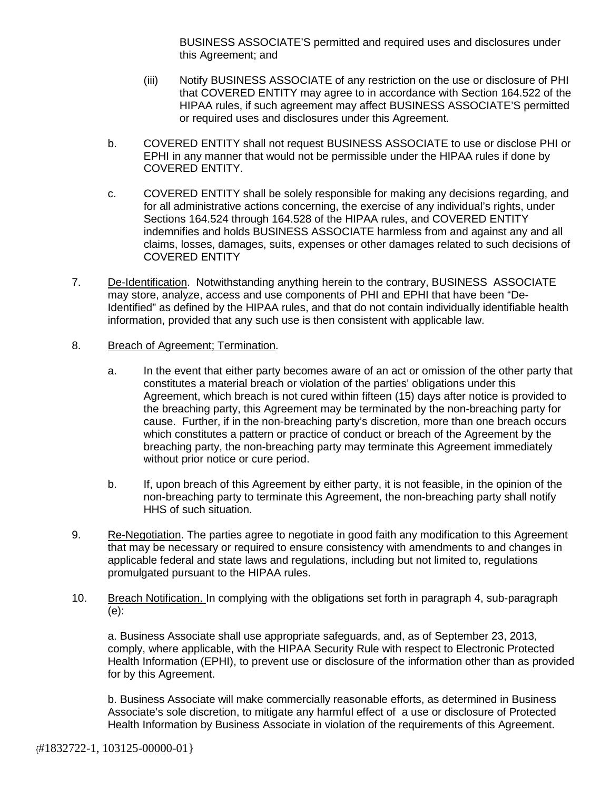BUSINESS ASSOCIATE'S permitted and required uses and disclosures under this Agreement; and

- (iii) Notify BUSINESS ASSOCIATE of any restriction on the use or disclosure of PHI that COVERED ENTITY may agree to in accordance with Section 164.522 of the HIPAA rules, if such agreement may affect BUSINESS ASSOCIATE'S permitted or required uses and disclosures under this Agreement.
- b. COVERED ENTITY shall not request BUSINESS ASSOCIATE to use or disclose PHI or EPHI in any manner that would not be permissible under the HIPAA rules if done by COVERED ENTITY.
- c. COVERED ENTITY shall be solely responsible for making any decisions regarding, and for all administrative actions concerning, the exercise of any individual's rights, under Sections 164.524 through 164.528 of the HIPAA rules, and COVERED ENTITY indemnifies and holds BUSINESS ASSOCIATE harmless from and against any and all claims, losses, damages, suits, expenses or other damages related to such decisions of COVERED ENTITY
- 7. De-Identification. Notwithstanding anything herein to the contrary, BUSINESS ASSOCIATE may store, analyze, access and use components of PHI and EPHI that have been "De-Identified" as defined by the HIPAA rules, and that do not contain individually identifiable health information, provided that any such use is then consistent with applicable law.

#### 8. Breach of Agreement; Termination.

- a. In the event that either party becomes aware of an act or omission of the other party that constitutes a material breach or violation of the parties' obligations under this Agreement, which breach is not cured within fifteen (15) days after notice is provided to the breaching party, this Agreement may be terminated by the non-breaching party for cause. Further, if in the non-breaching party's discretion, more than one breach occurs which constitutes a pattern or practice of conduct or breach of the Agreement by the breaching party, the non-breaching party may terminate this Agreement immediately without prior notice or cure period.
- b. If, upon breach of this Agreement by either party, it is not feasible, in the opinion of the non-breaching party to terminate this Agreement, the non-breaching party shall notify HHS of such situation.
- 9. Re-Negotiation. The parties agree to negotiate in good faith any modification to this Agreement that may be necessary or required to ensure consistency with amendments to and changes in applicable federal and state laws and regulations, including but not limited to, regulations promulgated pursuant to the HIPAA rules.
- 10. Breach Notification. In complying with the obligations set forth in paragraph 4, sub-paragraph (e):

a. Business Associate shall use appropriate safeguards, and, as of September 23, 2013, comply, where applicable, with the HIPAA Security Rule with respect to Electronic Protected Health Information (EPHI), to prevent use or disclosure of the information other than as provided for by this Agreement.

b. Business Associate will make commercially reasonable efforts, as determined in Business Associate's sole discretion, to mitigate any harmful effect of a use or disclosure of Protected Health Information by Business Associate in violation of the requirements of this Agreement.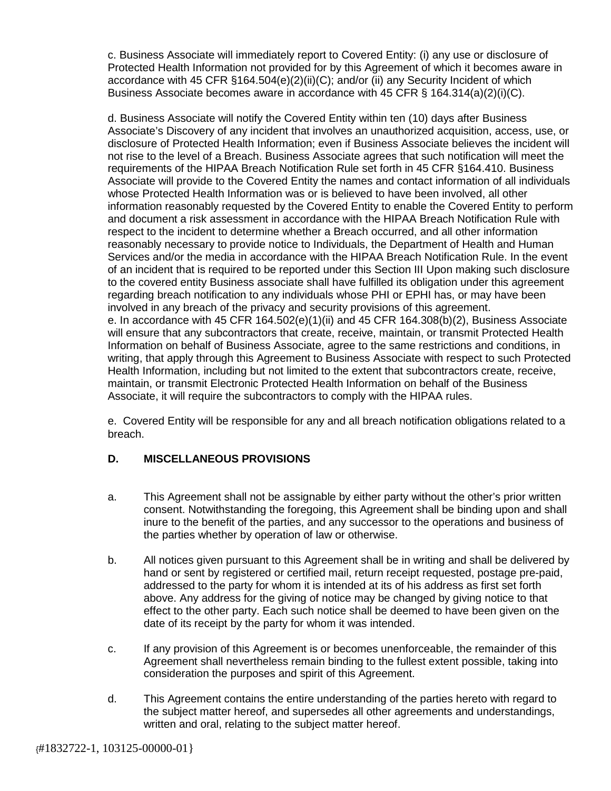c. Business Associate will immediately report to Covered Entity: (i) any use or disclosure of Protected Health Information not provided for by this Agreement of which it becomes aware in accordance with 45 CFR §164.504(e)(2)(ii)(C); and/or (ii) any Security Incident of which Business Associate becomes aware in accordance with 45 CFR § 164.314(a)(2)(i)(C).

d. Business Associate will notify the Covered Entity within ten (10) days after Business Associate's Discovery of any incident that involves an unauthorized acquisition, access, use, or disclosure of Protected Health Information; even if Business Associate believes the incident will not rise to the level of a Breach. Business Associate agrees that such notification will meet the requirements of the HIPAA Breach Notification Rule set forth in 45 CFR §164.410. Business Associate will provide to the Covered Entity the names and contact information of all individuals whose Protected Health Information was or is believed to have been involved, all other information reasonably requested by the Covered Entity to enable the Covered Entity to perform and document a risk assessment in accordance with the HIPAA Breach Notification Rule with respect to the incident to determine whether a Breach occurred, and all other information reasonably necessary to provide notice to Individuals, the Department of Health and Human Services and/or the media in accordance with the HIPAA Breach Notification Rule. In the event of an incident that is required to be reported under this Section III Upon making such disclosure to the covered entity Business associate shall have fulfilled its obligation under this agreement regarding breach notification to any individuals whose PHI or EPHI has, or may have been involved in any breach of the privacy and security provisions of this agreement. e. In accordance with 45 CFR 164.502(e)(1)(ii) and 45 CFR 164.308(b)(2), Business Associate will ensure that any subcontractors that create, receive, maintain, or transmit Protected Health Information on behalf of Business Associate, agree to the same restrictions and conditions, in writing, that apply through this Agreement to Business Associate with respect to such Protected Health Information, including but not limited to the extent that subcontractors create, receive, maintain, or transmit Electronic Protected Health Information on behalf of the Business Associate, it will require the subcontractors to comply with the HIPAA rules.

e. Covered Entity will be responsible for any and all breach notification obligations related to a breach.

### **D. MISCELLANEOUS PROVISIONS**

- a. This Agreement shall not be assignable by either party without the other's prior written consent. Notwithstanding the foregoing, this Agreement shall be binding upon and shall inure to the benefit of the parties, and any successor to the operations and business of the parties whether by operation of law or otherwise.
- b. All notices given pursuant to this Agreement shall be in writing and shall be delivered by hand or sent by registered or certified mail, return receipt requested, postage pre-paid, addressed to the party for whom it is intended at its of his address as first set forth above. Any address for the giving of notice may be changed by giving notice to that effect to the other party. Each such notice shall be deemed to have been given on the date of its receipt by the party for whom it was intended.
- c. If any provision of this Agreement is or becomes unenforceable, the remainder of this Agreement shall nevertheless remain binding to the fullest extent possible, taking into consideration the purposes and spirit of this Agreement.
- d. This Agreement contains the entire understanding of the parties hereto with regard to the subject matter hereof, and supersedes all other agreements and understandings, written and oral, relating to the subject matter hereof.